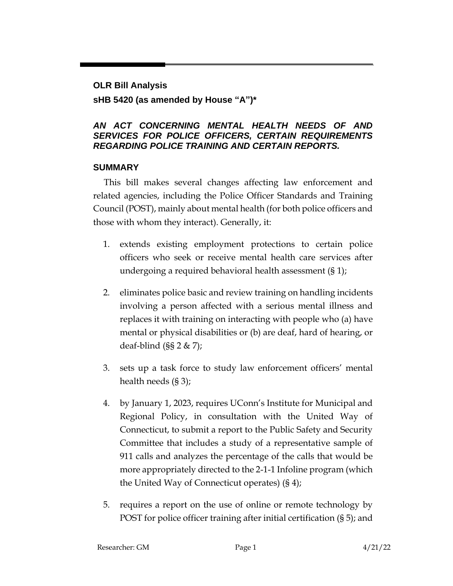#### **OLR Bill Analysis**

### **sHB 5420 (as amended by House "A")\***

#### *AN ACT CONCERNING MENTAL HEALTH NEEDS OF AND SERVICES FOR POLICE OFFICERS, CERTAIN REQUIREMENTS REGARDING POLICE TRAINING AND CERTAIN REPORTS.*

### **SUMMARY**

This bill makes several changes affecting law enforcement and related agencies, including the Police Officer Standards and Training Council (POST), mainly about mental health (for both police officers and those with whom they interact). Generally, it:

- 1. extends existing employment protections to certain police officers who seek or receive mental health care services after undergoing a required behavioral health assessment (§ 1);
- 2. eliminates police basic and review training on handling incidents involving a person affected with a serious mental illness and replaces it with training on interacting with people who (a) have mental or physical disabilities or (b) are deaf, hard of hearing, or deaf-blind  $(SS 2 & | Z \rangle)$ ;
- 3. sets up a task force to study law enforcement officers' mental health needs (§ 3);
- 4. by January 1, 2023, requires UConn's Institute for Municipal and Regional Policy, in consultation with the United Way of Connecticut, to submit a report to the Public Safety and Security Committee that includes a study of a representative sample of 911 calls and analyzes the percentage of the calls that would be more appropriately directed to the 2-1-1 Infoline program (which the United Way of Connecticut operates) (§ 4);
- 5. requires a report on the use of online or remote technology by POST for police officer training after initial certification (§ 5); and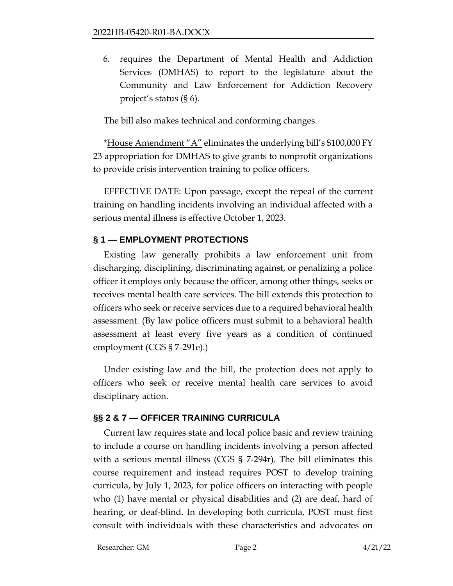6. requires the Department of Mental Health and Addiction Services (DMHAS) to report to the legislature about the Community and Law Enforcement for Addiction Recovery project's status (§ 6).

The bill also makes technical and conforming changes.

\*House Amendment "A" eliminates the underlying bill's \$100,000 FY 23 appropriation for DMHAS to give grants to nonprofit organizations to provide crisis intervention training to police officers.

EFFECTIVE DATE: Upon passage, except the repeal of the current training on handling incidents involving an individual affected with a serious mental illness is effective October 1, 2023.

## **§ 1 — EMPLOYMENT PROTECTIONS**

Existing law generally prohibits a law enforcement unit from discharging, disciplining, discriminating against, or penalizing a police officer it employs only because the officer, among other things, seeks or receives mental health care services. The bill extends this protection to officers who seek or receive services due to a required behavioral health assessment. (By law police officers must submit to a behavioral health assessment at least every five years as a condition of continued employment (CGS § 7-291e).)

Under existing law and the bill, the protection does not apply to officers who seek or receive mental health care services to avoid disciplinary action.

## **§§ 2 & 7 — OFFICER TRAINING CURRICULA**

Current law requires state and local police basic and review training to include a course on handling incidents involving a person affected with a serious mental illness (CGS § 7-294r). The bill eliminates this course requirement and instead requires POST to develop training curricula, by July 1, 2023, for police officers on interacting with people who (1) have mental or physical disabilities and (2) are deaf, hard of hearing, or deaf-blind. In developing both curricula, POST must first consult with individuals with these characteristics and advocates on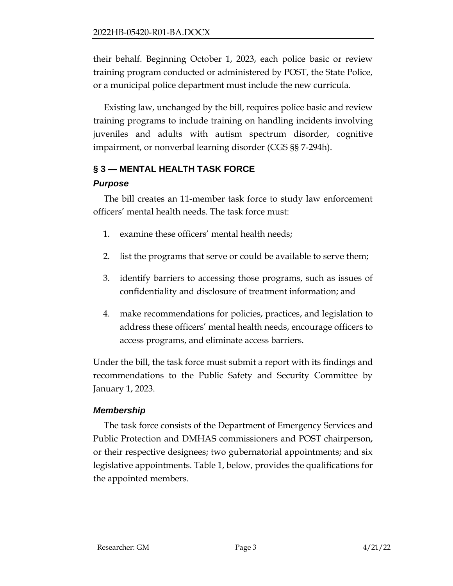their behalf. Beginning October 1, 2023, each police basic or review training program conducted or administered by POST, the State Police, or a municipal police department must include the new curricula.

Existing law, unchanged by the bill, requires police basic and review training programs to include training on handling incidents involving juveniles and adults with autism spectrum disorder, cognitive impairment, or nonverbal learning disorder (CGS §§ 7-294h).

# **§ 3 — MENTAL HEALTH TASK FORCE**

## *Purpose*

The bill creates an 11-member task force to study law enforcement officers' mental health needs. The task force must:

- 1. examine these officers' mental health needs;
- 2. list the programs that serve or could be available to serve them;
- 3. identify barriers to accessing those programs, such as issues of confidentiality and disclosure of treatment information; and
- 4. make recommendations for policies, practices, and legislation to address these officers' mental health needs, encourage officers to access programs, and eliminate access barriers.

Under the bill, the task force must submit a report with its findings and recommendations to the Public Safety and Security Committee by January 1, 2023.

# *Membership*

The task force consists of the Department of Emergency Services and Public Protection and DMHAS commissioners and POST chairperson, or their respective designees; two gubernatorial appointments; and six legislative appointments. Table 1, below, provides the qualifications for the appointed members.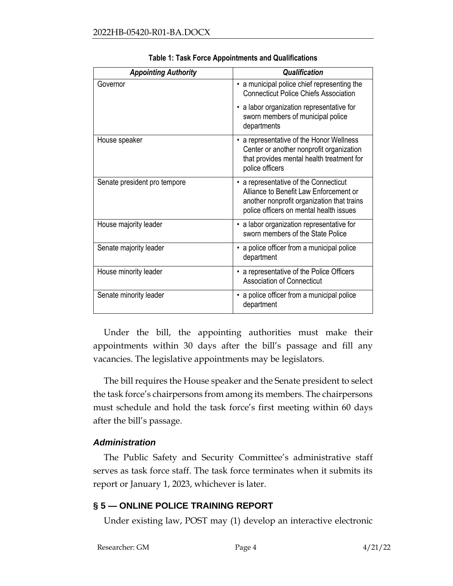| <b>Appointing Authority</b>  | <b>Qualification</b>                                                                                                                                                   |
|------------------------------|------------------------------------------------------------------------------------------------------------------------------------------------------------------------|
| Governor                     | • a municipal police chief representing the<br><b>Connecticut Police Chiefs Association</b>                                                                            |
|                              | • a labor organization representative for<br>sworn members of municipal police<br>departments                                                                          |
| House speaker                | • a representative of the Honor Wellness<br>Center or another nonprofit organization<br>that provides mental health treatment for<br>police officers                   |
| Senate president pro tempore | a representative of the Connecticut<br>Alliance to Benefit Law Enforcement or<br>another nonprofit organization that trains<br>police officers on mental health issues |
| House majority leader        | • a labor organization representative for<br>sworn members of the State Police                                                                                         |
| Senate majority leader       | a police officer from a municipal police<br>department                                                                                                                 |
| House minority leader        | a representative of the Police Officers<br><b>Association of Connecticut</b>                                                                                           |
| Senate minority leader       | a police officer from a municipal police<br>department                                                                                                                 |

**Table 1: Task Force Appointments and Qualifications**

Under the bill, the appointing authorities must make their appointments within 30 days after the bill's passage and fill any vacancies. The legislative appointments may be legislators.

The bill requires the House speaker and the Senate president to select the task force's chairpersons from among its members. The chairpersons must schedule and hold the task force's first meeting within 60 days after the bill's passage.

### *Administration*

The Public Safety and Security Committee's administrative staff serves as task force staff. The task force terminates when it submits its report or January 1, 2023, whichever is later.

## **§ 5 — ONLINE POLICE TRAINING REPORT**

Under existing law, POST may (1) develop an interactive electronic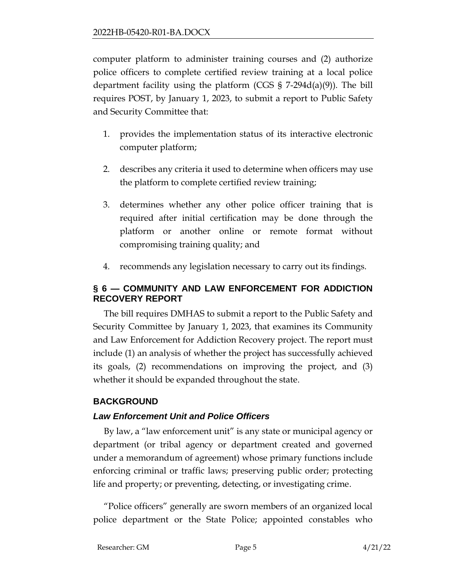computer platform to administer training courses and (2) authorize police officers to complete certified review training at a local police department facility using the platform (CGS § 7-294d(a)(9)). The bill requires POST, by January 1, 2023, to submit a report to Public Safety and Security Committee that:

- 1. provides the implementation status of its interactive electronic computer platform;
- 2. describes any criteria it used to determine when officers may use the platform to complete certified review training;
- 3. determines whether any other police officer training that is required after initial certification may be done through the platform or another online or remote format without compromising training quality; and
- 4. recommends any legislation necessary to carry out its findings.

## **§ 6 — COMMUNITY AND LAW ENFORCEMENT FOR ADDICTION RECOVERY REPORT**

The bill requires DMHAS to submit a report to the Public Safety and Security Committee by January 1, 2023, that examines its Community and Law Enforcement for Addiction Recovery project. The report must include (1) an analysis of whether the project has successfully achieved its goals, (2) recommendations on improving the project, and (3) whether it should be expanded throughout the state.

# **BACKGROUND**

## *Law Enforcement Unit and Police Officers*

By law, a "law enforcement unit" is any state or municipal agency or department (or tribal agency or department created and governed under a memorandum of agreement) whose primary functions include enforcing criminal or traffic laws; preserving public order; protecting life and property; or preventing, detecting, or investigating crime.

"Police officers" generally are sworn members of an organized local police department or the State Police; appointed constables who